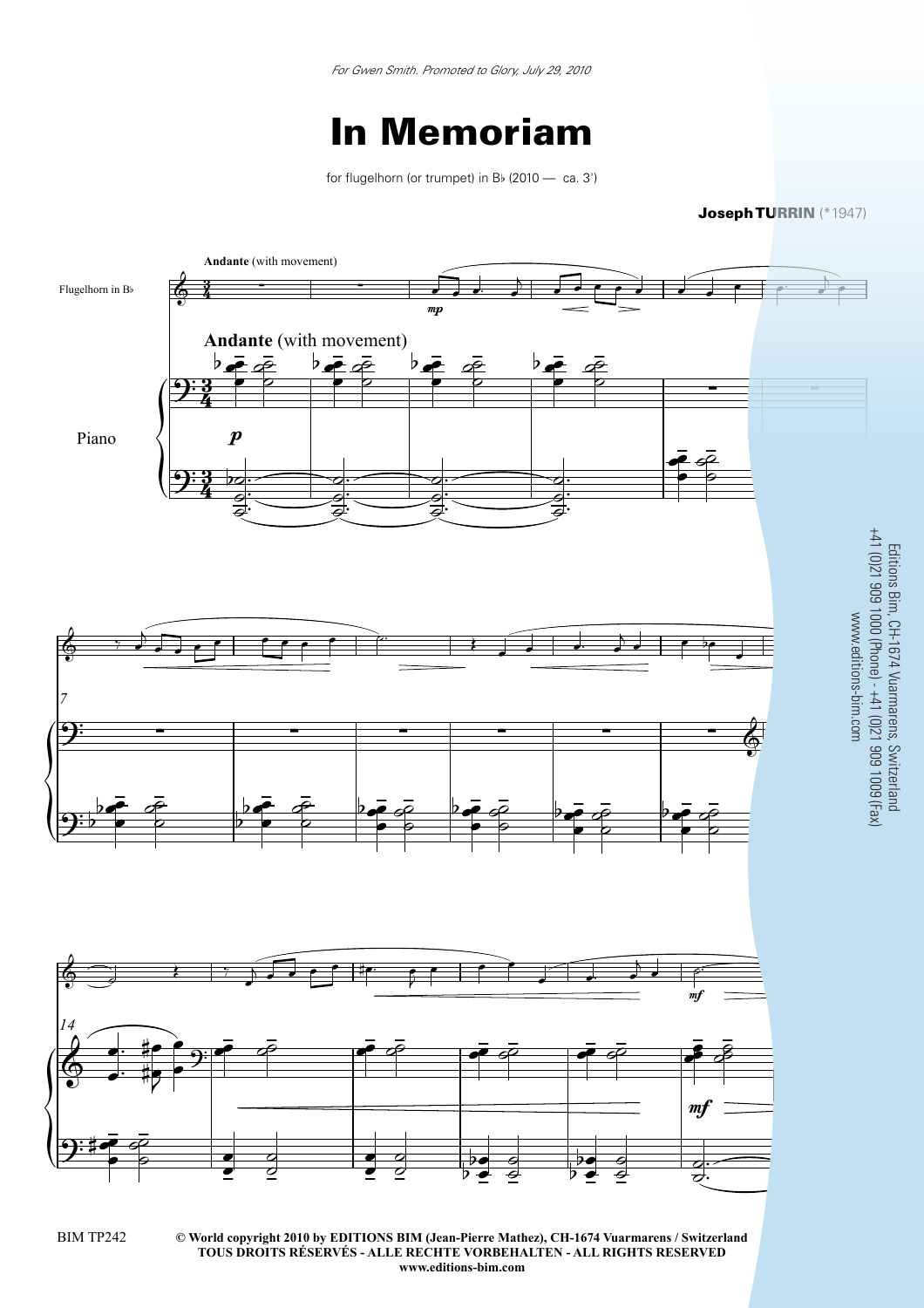## In Memoriam

for flugelhorn (or trumpet) in  $B_{\nu}$  (2010 — ca. 3')

Joseph TURRIN (\*1947)

Editions Bim, CH-1674 Vuarmarens, Switzerland



**© World copyright 2010 by EDITIONS BIM (Jean-Pierre Mathez), CH-1674 Vuarmarens / Switzerland** BIM TP242 3 **TOUS DROITS RÉSERVÉS - ALLE RECHTE VORBEHALTEN - ALL RIGHTS RESERVED www.editions-bim.com**